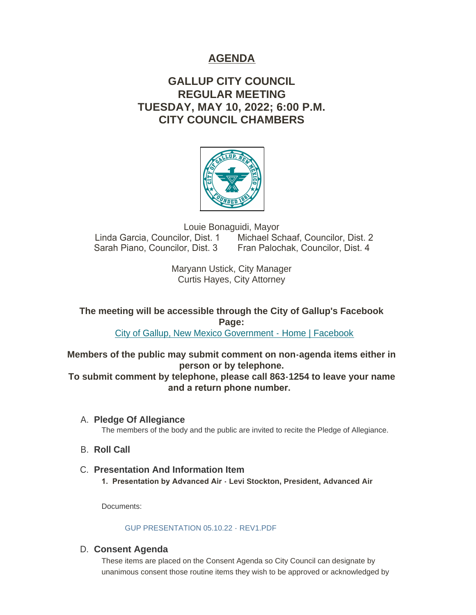# **AGENDA**

# **GALLUP CITY COUNCIL REGULAR MEETING TUESDAY, MAY 10, 2022; 6:00 P.M. CITY COUNCIL CHAMBERS**



Louie Bonaguidi, Mayor Linda Garcia, Councilor, Dist. 1 Michael Schaaf, Councilor, Dist. 2 Sarah Piano, Councilor, Dist. 3 Fran Palochak, Councilor, Dist. 4

> Maryann Ustick, City Manager Curtis Hayes, City Attorney

**The meeting will be accessible through the City of Gallup's Facebook Page:**

[City of Gallup, New Mexico Government - Home | Facebook](https://www.facebook.com/CityOfGallup)

**Members of the public may submit comment on non-agenda items either in person or by telephone.**

**To submit comment by telephone, please call 863-1254 to leave your name and a return phone number.** 

- **Pledge Of Allegiance** A. The members of the body and the public are invited to recite the Pledge of Allegiance.
- **B.** Roll Call
- **Presentation And Information Item** C. **1. Presentation by Advanced Air - Levi Stockton, President, Advanced Air**

Documents:

# GUP PRESENTATION 05.10.22 - REV1 PDE

# **Consent Agenda** D.

These items are placed on the Consent Agenda so City Council can designate by unanimous consent those routine items they wish to be approved or acknowledged by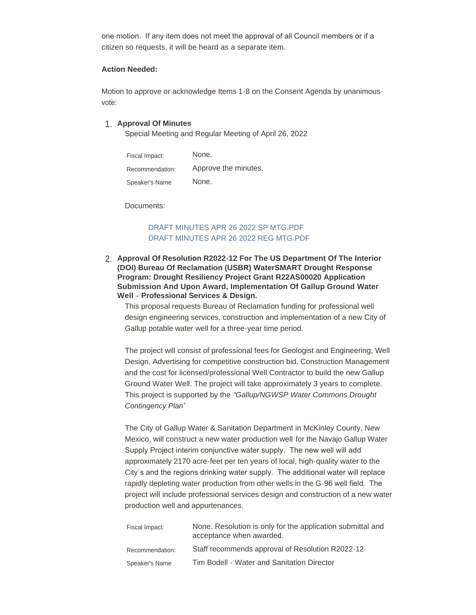one motion. If any item does not meet the approval of all Council members or if a citizen so requests, it will be heard as a separate item.

#### **Action Needed:**

Motion to approve or acknowledge Items 1-8 on the Consent Agenda by unanimous vote:

### **Approval Of Minutes** 1.

Special Meeting and Regular Meeting of April 26, 2022

| Fiscal Impact:  | None.                |
|-----------------|----------------------|
| Recommendation: | Approve the minutes. |
| Speaker's Name  | None.                |

Documents:

### [DRAFT MINUTES APR 26 2022 SP MTG.PDF](https://www.gallupnm.gov/AgendaCenter/ViewFile/Item/2973?fileID=12588) [DRAFT MINUTES APR 26 2022 REG MTG.PDF](https://www.gallupnm.gov/AgendaCenter/ViewFile/Item/2973?fileID=12589)

**Approval Of Resolution R2022-12 For The US Department Of The Interior**  2. **(DOI) Bureau Of Reclamation (USBR) WaterSMART Drought Response Program: Drought Resiliency Project Grant R22AS00020 Application Submission And Upon Award, Implementation Of Gallup Ground Water Well - Professional Services & Design.**

This proposal requests Bureau of Reclamation funding for professional well design engineering services, construction and implementation of a new City of Gallup potable water well for a three-year time period.

The project will consist of professional fees for Geologist and Engineering, Well Design, Advertising for competitive construction bid, Construction Management and the cost for licensed/professional Well Contractor to build the new Gallup Ground Water Well. The project will take approximately 3 years to complete. This project is supported by the *"Gallup/NGWSP Water Commons Drought Contingency Plan*"

The City of Gallup Water & Sanitation Department in McKinley County, New Mexico, will construct a new water production well for the Navajo Gallup Water Supply Project interim conjunctive water supply. The new well will add approximately 2170 acre-feet per ten years of local, high-quality water to the City's and the regions drinking water supply. The additional water will replace rapidly depleting water production from other wells in the G-96 well field. The project will include professional services design and construction of a new water production well and appurtenances.

| Fiscal Impact:  | None. Resolution is only for the application submittal and<br>acceptance when awarded. |
|-----------------|----------------------------------------------------------------------------------------|
| Recommendation: | Staff recommends approval of Resolution R2022-12                                       |
| Speaker's Name  | Tim Bodell - Water and Sanitation Director                                             |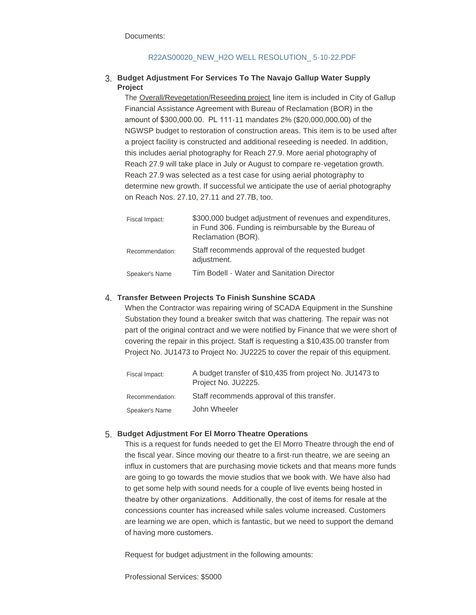Documents:

### [R22AS00020\\_NEW\\_H2O WELL RESOLUTION\\_ 5-10-22.PDF](https://www.gallupnm.gov/AgendaCenter/ViewFile/Item/2962?fileID=12571)

### **Budget Adjustment For Services To The Navajo Gallup Water Supply**  3. **Project**

The Overall/Revegetation/Reseeding project line item is included in City of Gallup Financial Assistance Agreement with Bureau of Reclamation (BOR) in the amount of \$300,000.00. PL 111-11 mandates 2% (\$20,000,000.00) of the NGWSP budget to restoration of construction areas. This item is to be used after a project facility is constructed and additional reseeding is needed. In addition, this includes aerial photography for Reach 27.9. More aerial photography of Reach 27.9 will take place in July or August to compare re-vegetation growth. Reach 27.9 was selected as a test case for using aerial photography to determine new growth. If successful we anticipate the use of aerial photography on Reach Nos. 27.10, 27.11 and 27.7B, too.

| Fiscal Impact:  | \$300,000 budget adjustment of revenues and expenditures,<br>in Fund 306. Funding is reimbursable by the Bureau of<br>Reclamation (BOR). |
|-----------------|------------------------------------------------------------------------------------------------------------------------------------------|
| Recommendation: | Staff recommends approval of the requested budget<br>adjustment.                                                                         |
| Speaker's Name  | Tim Bodell - Water and Sanitation Director                                                                                               |

# **Transfer Between Projects To Finish Sunshine SCADA** 4.

When the Contractor was repairing wiring of SCADA Equipment in the Sunshine Substation they found a breaker switch that was chattering. The repair was not part of the original contract and we were notified by Finance that we were short of covering the repair in this project. Staff is requesting a \$10,435.00 transfer from Project No. JU1473 to Project No. JU2225 to cover the repair of this equipment.

| Fiscal Impact:  | A budget transfer of \$10,435 from project No. JU1473 to<br>Project No. JU2225. |
|-----------------|---------------------------------------------------------------------------------|
| Recommendation: | Staff recommends approval of this transfer.                                     |
| Speaker's Name  | John Wheeler                                                                    |

# **Budget Adjustment For El Morro Theatre Operations** 5.

This is a request for funds needed to get the El Morro Theatre through the end of the fiscal year. Since moving our theatre to a first-run theatre, we are seeing an influx in customers that are purchasing movie tickets and that means more funds are going to go towards the movie studios that we book with. We have also had to get some help with sound needs for a couple of live events being hosted in theatre by other organizations. Additionally, the cost of items for resale at the concessions counter has increased while sales volume increased. Customers are learning we are open, which is fantastic, but we need to support the demand of having more customers.

Request for budget adjustment in the following amounts:

Professional Services: \$5000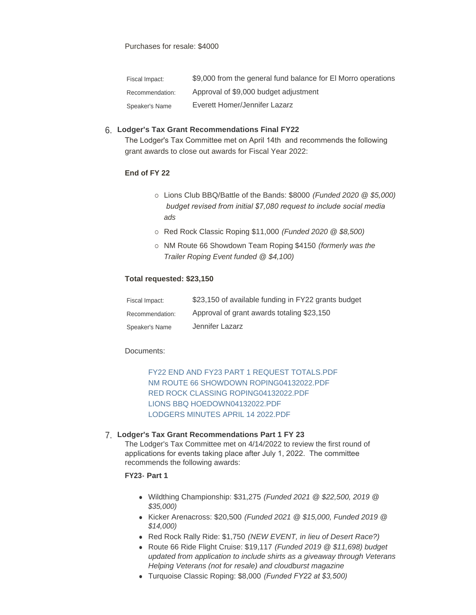| Fiscal Impact:  | \$9,000 from the general fund balance for El Morro operations |
|-----------------|---------------------------------------------------------------|
| Recommendation: | Approval of \$9,000 budget adjustment                         |
| Speaker's Name  | Everett Homer/Jennifer Lazarz                                 |

### **Lodger's Tax Grant Recommendations Final FY22** 6.

The Lodger's Tax Committee met on April 14th and recommends the following grant awards to close out awards for Fiscal Year 2022:

#### **End of FY 22**

- ¡ Lions Club BBQ/Battle of the Bands: \$8000 *(Funded 2020 @ \$5,000) budget revised from initial \$7,080 request to include social media ads*
- ¡ Red Rock Classic Roping \$11,000 *(Funded 2020 @ \$8,500)*
- ¡ NM Route 66 Showdown Team Roping \$4150 *(formerly was the Trailer Roping Event funded @ \$4,100)*

#### **Total requested: \$23,150**

| Fiscal Impact:  | \$23,150 of available funding in FY22 grants budget |
|-----------------|-----------------------------------------------------|
| Recommendation: | Approval of grant awards totaling \$23,150          |
| Speaker's Name  | Jennifer Lazarz                                     |

#### Documents:

[FY22 END AND FY23 PART 1 REQUEST TOTALS.PDF](https://www.gallupnm.gov/AgendaCenter/ViewFile/Item/2935?fileID=12591) [NM ROUTE 66 SHOWDOWN ROPING04132022.PDF](https://www.gallupnm.gov/AgendaCenter/ViewFile/Item/2935?fileID=12529) [RED ROCK CLASSING ROPING04132022.PDF](https://www.gallupnm.gov/AgendaCenter/ViewFile/Item/2935?fileID=12530) [LIONS BBQ HOEDOWN04132022.PDF](https://www.gallupnm.gov/AgendaCenter/ViewFile/Item/2935?fileID=12531) [LODGERS MINUTES APRIL 14 2022.PDF](https://www.gallupnm.gov/AgendaCenter/ViewFile/Item/2935?fileID=12592)

### **Lodger's Tax Grant Recommendations Part 1 FY 23** 7.

The Lodger's Tax Committee met on 4/14/2022 to review the first round of applications for events taking place after July 1, 2022. The committee recommends the following awards:

### **FY23- Part 1**

- <sup>l</sup> Wildthing Championship: \$31,275 *(Funded 2021 @ \$22,500, 2019 @ \$35,000)*
- <sup>l</sup> Kicker Arenacross: \$20,500 *(Funded 2021 @ \$15,000, Funded 2019 @ \$14,000)*
- Red Rock Rally Ride: \$1,750 *(NEW EVENT, in lieu of Desert Race?)*
- <sup>l</sup> Route 66 Ride Flight Cruise: \$19,117 *(Funded 2019 @ \$11,698) budget updated from application to include shirts as a giveaway through Veterans Helping Veterans (not for resale) and cloudburst magazine*
- **Turquoise Classic Roping: \$8,000** *(Funded FY22 at \$3,500)*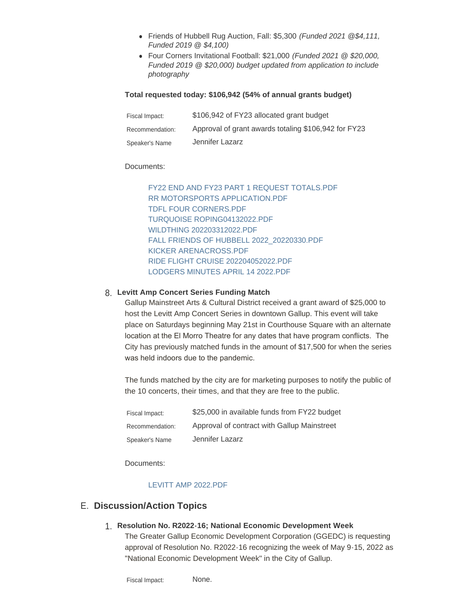- <sup>l</sup> Friends of Hubbell Rug Auction, Fall: \$5,300 *(Funded 2021 @\$4,111, Funded 2019 @ \$4,100)*
- <sup>l</sup> Four Corners Invitational Football: \$21,000 *(Funded 2021 @ \$20,000, Funded 2019 @ \$20,000) budget updated from application to include photography*

#### **Total requested today: \$106,942 (54% of annual grants budget)**

| Fiscal Impact:  | \$106,942 of FY23 allocated grant budget             |
|-----------------|------------------------------------------------------|
| Recommendation: | Approval of grant awards totaling \$106,942 for FY23 |
| Speaker's Name  | Jennifer Lazarz                                      |

#### Documents:

[FY22 END AND FY23 PART 1 REQUEST TOTALS.PDF](https://www.gallupnm.gov/AgendaCenter/ViewFile/Item/2936?fileID=12593) [RR MOTORSPORTS APPLICATION.PDF](https://www.gallupnm.gov/AgendaCenter/ViewFile/Item/2936?fileID=12594) [TDFL FOUR CORNERS.PDF](https://www.gallupnm.gov/AgendaCenter/ViewFile/Item/2936?fileID=12534) [TURQUOISE ROPING04132022.PDF](https://www.gallupnm.gov/AgendaCenter/ViewFile/Item/2936?fileID=12535) [WILDTHING 202203312022.PDF](https://www.gallupnm.gov/AgendaCenter/ViewFile/Item/2936?fileID=12536) [FALL FRIENDS OF HUBBELL 2022\\_20220330.PDF](https://www.gallupnm.gov/AgendaCenter/ViewFile/Item/2936?fileID=12537) [KICKER ARENACROSS.PDF](https://www.gallupnm.gov/AgendaCenter/ViewFile/Item/2936?fileID=12538) [RIDE FLIGHT CRUISE 202204052022.PDF](https://www.gallupnm.gov/AgendaCenter/ViewFile/Item/2936?fileID=12539) [LODGERS MINUTES APRIL 14 2022.PDF](https://www.gallupnm.gov/AgendaCenter/ViewFile/Item/2936?fileID=12595)

# **Levitt Amp Concert Series Funding Match** 8.

Gallup Mainstreet Arts & Cultural District received a grant award of \$25,000 to host the Levitt Amp Concert Series in downtown Gallup. This event will take place on Saturdays beginning May 21st in Courthouse Square with an alternate location at the El Morro Theatre for any dates that have program conflicts. The City has previously matched funds in the amount of \$17,500 for when the series was held indoors due to the pandemic.

The funds matched by the city are for marketing purposes to notify the public of the 10 concerts, their times, and that they are free to the public.

| Fiscal Impact:  | \$25,000 in available funds from FY22 budget |
|-----------------|----------------------------------------------|
| Recommendation: | Approval of contract with Gallup Mainstreet  |
| Speaker's Name  | Jennifer Lazarz                              |

Documents:

### [LEVITT AMP 2022.PDF](https://www.gallupnm.gov/AgendaCenter/ViewFile/Item/2965?fileID=12596)

# **Discussion/Action Topics** E.

# **Resolution No. R2022-16; National Economic Development Week** 1.

The Greater Gallup Economic Development Corporation (GGEDC) is requesting approval of Resolution No. R2022-16 recognizing the week of May 9-15, 2022 as "National Economic Development Week" in the City of Gallup.

None. Fiscal Impact: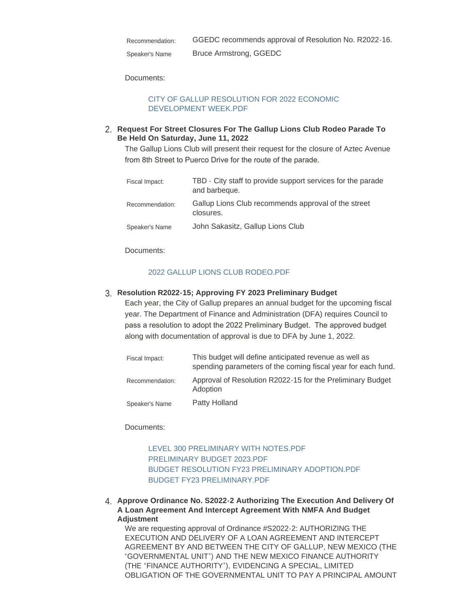| Recommendation: | GGEDC recommends approval of Resolution No. R2022-16. |
|-----------------|-------------------------------------------------------|
| Speaker's Name  | Bruce Armstrong, GGEDC                                |

Documents:

### [CITY OF GALLUP RESOLUTION FOR 2022 ECONOMIC](https://www.gallupnm.gov/AgendaCenter/ViewFile/Item/2972?fileID=12584)  DEVELOPMENT WEEK.PDF

### **Request For Street Closures For The Gallup Lions Club Rodeo Parade To**  2. **Be Held On Saturday, June 11, 2022**

The Gallup Lions Club will present their request for the closure of Aztec Avenue from 8th Street to Puerco Drive for the route of the parade.

| Fiscal Impact:  | TBD - City staff to provide support services for the parade<br>and barbeque. |
|-----------------|------------------------------------------------------------------------------|
| Recommendation: | Gallup Lions Club recommends approval of the street<br>closures.             |
| Speaker's Name  | John Sakasitz, Gallup Lions Club                                             |

Documents:

### [2022 GALLUP LIONS CLUB RODEO.PDF](https://www.gallupnm.gov/AgendaCenter/ViewFile/Item/2967?fileID=12578)

# **Resolution R2022-15; Approving FY 2023 Preliminary Budget** 3.

Each year, the City of Gallup prepares an annual budget for the upcoming fiscal year. The Department of Finance and Administration (DFA) requires Council to pass a resolution to adopt the 2022 Preliminary Budget. The approved budget along with documentation of approval is due to DFA by June 1, 2022.

| Fiscal Impact:  | This budget will define anticipated revenue as well as<br>spending parameters of the coming fiscal year for each fund. |
|-----------------|------------------------------------------------------------------------------------------------------------------------|
| Recommendation: | Approval of Resolution R2022-15 for the Preliminary Budget<br>Adoption                                                 |
| Speaker's Name  | Patty Holland                                                                                                          |

### Documents:

[LEVEL 300 PRELIMINARY WITH NOTES.PDF](https://www.gallupnm.gov/AgendaCenter/ViewFile/Item/2969?fileID=12579) [PRELIMINARY BUDGET 2023.PDF](https://www.gallupnm.gov/AgendaCenter/ViewFile/Item/2969?fileID=12580) [BUDGET RESOLUTION FY23 PRELIMINARY ADOPTION.PDF](https://www.gallupnm.gov/AgendaCenter/ViewFile/Item/2969?fileID=12597) [BUDGET FY23 PRELIMINARY.PDF](https://www.gallupnm.gov/AgendaCenter/ViewFile/Item/2969?fileID=12582)

**Approve Ordinance No. S2022-2 Authorizing The Execution And Delivery Of**  4. **A Loan Agreement And Intercept Agreement With NMFA And Budget Adjustment**

We are requesting approval of Ordinance #S2022-2: AUTHORIZING THE EXECUTION AND DELIVERY OF A LOAN AGREEMENT AND INTERCEPT AGREEMENT BY AND BETWEEN THE CITY OF GALLUP, NEW MEXICO (THE "GOVERNMENTAL UNIT") AND THE NEW MEXICO FINANCE AUTHORITY (THE "FINANCE AUTHORITY"), EVIDENCING A SPECIAL, LIMITED OBLIGATION OF THE GOVERNMENTAL UNIT TO PAY A PRINCIPAL AMOUNT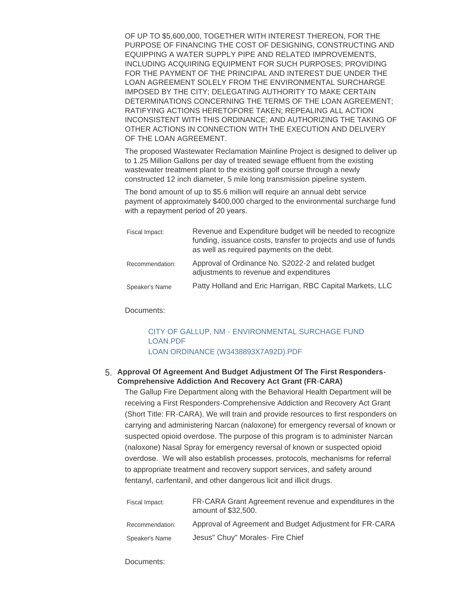OF UP TO \$5,600,000, TOGETHER WITH INTEREST THEREON, FOR THE PURPOSE OF FINANCING THE COST OF DESIGNING, CONSTRUCTING AND EQUIPPING A WATER SUPPLY PIPE AND RELATED IMPROVEMENTS, INCLUDING ACQUIRING EQUIPMENT FOR SUCH PURPOSES; PROVIDING FOR THE PAYMENT OF THE PRINCIPAL AND INTEREST DUE UNDER THE LOAN AGREEMENT SOLELY FROM THE ENVIRONMENTAL SURCHARGE IMPOSED BY THE CITY; DELEGATING AUTHORITY TO MAKE CERTAIN DETERMINATIONS CONCERNING THE TERMS OF THE LOAN AGREEMENT; RATIFYING ACTIONS HERETOFORE TAKEN; REPEALING ALL ACTION INCONSISTENT WITH THIS ORDINANCE; AND AUTHORIZING THE TAKING OF OTHER ACTIONS IN CONNECTION WITH THE EXECUTION AND DELIVERY OF THE LOAN AGREEMENT.

The proposed Wastewater Reclamation Mainline Project is designed to deliver up to 1.25 Million Gallons per day of treated sewage effluent from the existing wastewater treatment plant to the existing golf course through a newly constructed 12 inch diameter, 5 mile long transmission pipeline system.

The bond amount of up to \$5.6 million will require an annual debt service payment of approximately \$400,000 charged to the environmental surcharge fund with a repayment period of 20 years.

| Fiscal Impact:  | Revenue and Expenditure budget will be needed to recognize<br>funding, issuance costs, transfer to projects and use of funds<br>as well as required payments on the debt. |
|-----------------|---------------------------------------------------------------------------------------------------------------------------------------------------------------------------|
| Recommendation: | Approval of Ordinance No. S2022-2 and related budget<br>adjustments to revenue and expenditures                                                                           |
| Speaker's Name  | Patty Holland and Eric Harrigan, RBC Capital Markets, LLC                                                                                                                 |

Documents:

### [CITY OF GALLUP, NM - ENVIRONMENTAL SURCHAGE FUND](https://www.gallupnm.gov/AgendaCenter/ViewFile/Item/2970?fileID=12586)  LOAN.PDF [LOAN ORDINANCE \(W3438893X7A92D\).PDF](https://www.gallupnm.gov/AgendaCenter/ViewFile/Item/2970?fileID=12598)

### **Approval Of Agreement And Budget Adjustment Of The First Responders-**5. **Comprehensive Addiction And Recovery Act Grant (FR-CARA)**

The Gallup Fire Department along with the Behavioral Health Department will be receiving a First Responders-Comprehensive Addiction and Recovery Act Grant (Short Title: FR-CARA). We will train and provide resources to first responders on carrying and administering Narcan (naloxone) for emergency reversal of known or suspected opioid overdose. The purpose of this program is to administer Narcan (naloxone) Nasal Spray for emergency reversal of known or suspected opioid overdose. We will also establish processes, protocols, mechanisms for referral to appropriate treatment and recovery support services, and safety around fentanyl, carfentanil, and other dangerous licit and illicit drugs.

| Fiscal Impact:  | FR-CARA Grant Agreement revenue and expenditures in the<br>amount of \$32,500. |
|-----------------|--------------------------------------------------------------------------------|
| Recommendation: | Approval of Agreement and Budget Adjustment for FR-CARA                        |
| Speaker's Name  | Jesus" Chuy" Morales - Fire Chief                                              |

Documents: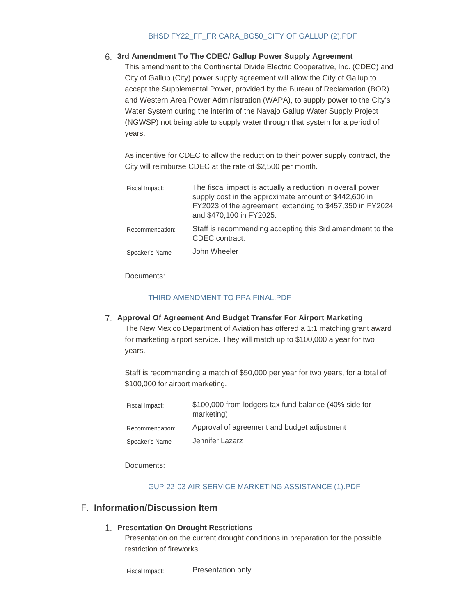### [BHSD FY22\\_FF\\_FR CARA\\_BG50\\_CITY OF GALLUP \(2\).PDF](https://www.gallupnm.gov/AgendaCenter/ViewFile/Item/2963?fileID=12572)

# **3rd Amendment To The CDEC/ Gallup Power Supply Agreement** 6.

This amendment to the Continental Divide Electric Cooperative, Inc. (CDEC) and City of Gallup (City) power supply agreement will allow the City of Gallup to accept the Supplemental Power, provided by the Bureau of Reclamation (BOR) and Western Area Power Administration (WAPA), to supply power to the City's Water System during the interim of the Navajo Gallup Water Supply Project (NGWSP) not being able to supply water through that system for a period of years.

As incentive for CDEC to allow the reduction to their power supply contract, the City will reimburse CDEC at the rate of \$2,500 per month.

| Fiscal Impact:  | The fiscal impact is actually a reduction in overall power<br>supply cost in the approximate amount of \$442,600 in<br>FY2023 of the agreement, extending to \$457,350 in FY2024<br>and \$470,100 in FY2025. |
|-----------------|--------------------------------------------------------------------------------------------------------------------------------------------------------------------------------------------------------------|
| Recommendation: | Staff is recommending accepting this 3rd amendment to the<br>CDEC contract.                                                                                                                                  |
| Speaker's Name  | John Wheeler                                                                                                                                                                                                 |

Documents:

#### [THIRD AMENDMENT TO PPA FINAL.PDF](https://www.gallupnm.gov/AgendaCenter/ViewFile/Item/2971?fileID=12599)

**Approval Of Agreement And Budget Transfer For Airport Marketing** 7. The New Mexico Department of Aviation has offered a 1:1 matching grant award for marketing airport service. They will match up to \$100,000 a year for two years.

Staff is recommending a match of \$50,000 per year for two years, for a total of \$100,000 for airport marketing.

| Fiscal Impact:  | \$100,000 from lodgers tax fund balance (40% side for<br>marketing) |
|-----------------|---------------------------------------------------------------------|
| Recommendation: | Approval of agreement and budget adjustment                         |
| Speaker's Name  | Jennifer Lazarz                                                     |

Documents:

#### [GUP-22-03 AIR SERVICE MARKETING ASSISTANCE \(1\).PDF](https://www.gallupnm.gov/AgendaCenter/ViewFile/Item/2966?fileID=12577)

### **Information/Discussion Item** F.

### **Presentation On Drought Restrictions** 1.

Presentation on the current drought conditions in preparation for the possible restriction of fireworks.

Presentation only. Fiscal Impact: